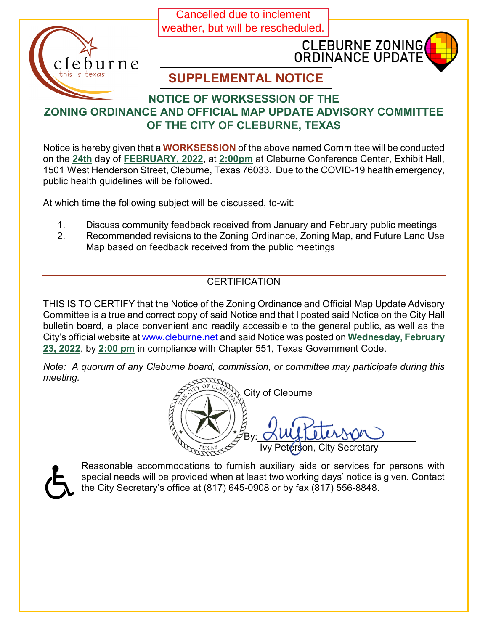Cancelled due to inclement weather, but will be rescheduled.





# **SUPPLEMENTAL NOTICE**

#### **NOTICE OF WORKSESSION OF THE ZONING ORDINANCE AND OFFICIAL MAP UPDATE ADVISORY COMMITTEE OF THE CITY OF CLEBURNE, TEXAS**

Notice is hereby given that a **WORKSESSION** of the above named Committee will be conducted on the **24th** day of **FEBRUARY, 2022**, at **2:00pm** at Cleburne Conference Center, Exhibit Hall, 1501 West Henderson Street, Cleburne, Texas 76033. Due to the COVID-19 health emergency, public health guidelines will be followed.

At which time the following subject will be discussed, to-wit:

- 1. Discuss community feedback received from January and February public meetings
- 2. Recommended revisions to the Zoning Ordinance, Zoning Map, and Future Land Use Map based on feedback received from the public meetings

## **CERTIFICATION**

THIS IS TO CERTIFY that the Notice of the Zoning Ordinance and Official Map Update Advisory Committee is a true and correct copy of said Notice and that I posted said Notice on the City Hall bulletin board, a place convenient and readily accessible to the general public, as well as the City's official website at [www.cleburne.net](http://www.cleburne.net/) and said Notice was posted on **Wednesday, February 23, 2022**, by **2:00 pm** in compliance with Chapter 551, Texas Government Code.

*Note: A quorum of any Cleburne board, commission, or committee may participate during this meeting.*

City of Cleburne By:\_ Ivy Peterson, City Secretary



Reasonable accommodations to furnish auxiliary aids or services for persons with special needs will be provided when at least two working days' notice is given. Contact the City Secretary's office at (817) 645-0908 or by fax (817) 556-8848.